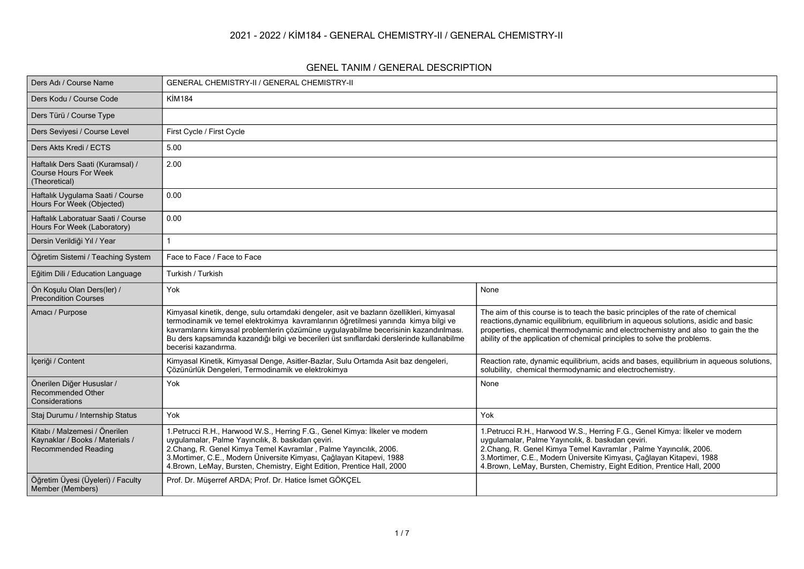#### **2021 - 2022 / KİM184 - GENERAL CHEMISTRY-II / GENERAL CHEMISTRY-II**

#### **GENEL TANIM / GENERAL DESCRIPTION**

| Ders Adı / Course Name                                                                  | <b>GENERAL CHEMISTRY-II / GENERAL CHEMISTRY-II</b>                                                                                                                                                                                                                                                                                                                                             |                                                                                                                                                                                                                                                                                                                                                             |
|-----------------------------------------------------------------------------------------|------------------------------------------------------------------------------------------------------------------------------------------------------------------------------------------------------------------------------------------------------------------------------------------------------------------------------------------------------------------------------------------------|-------------------------------------------------------------------------------------------------------------------------------------------------------------------------------------------------------------------------------------------------------------------------------------------------------------------------------------------------------------|
| Ders Kodu / Course Code                                                                 | <b>KİM184</b>                                                                                                                                                                                                                                                                                                                                                                                  |                                                                                                                                                                                                                                                                                                                                                             |
| Ders Türü / Course Type                                                                 |                                                                                                                                                                                                                                                                                                                                                                                                |                                                                                                                                                                                                                                                                                                                                                             |
| Ders Seviyesi / Course Level                                                            | First Cycle / First Cycle                                                                                                                                                                                                                                                                                                                                                                      |                                                                                                                                                                                                                                                                                                                                                             |
| Ders Akts Kredi / ECTS                                                                  | 5.00                                                                                                                                                                                                                                                                                                                                                                                           |                                                                                                                                                                                                                                                                                                                                                             |
| Haftalık Ders Saati (Kuramsal) /<br><b>Course Hours For Week</b><br>(Theoretical)       | 2.00                                                                                                                                                                                                                                                                                                                                                                                           |                                                                                                                                                                                                                                                                                                                                                             |
| Haftalık Uygulama Saati / Course<br>Hours For Week (Objected)                           | 0.00                                                                                                                                                                                                                                                                                                                                                                                           |                                                                                                                                                                                                                                                                                                                                                             |
| Haftalık Laboratuar Saati / Course<br>Hours For Week (Laboratory)                       | 0.00                                                                                                                                                                                                                                                                                                                                                                                           |                                                                                                                                                                                                                                                                                                                                                             |
| Dersin Verildiği Yıl / Year                                                             |                                                                                                                                                                                                                                                                                                                                                                                                |                                                                                                                                                                                                                                                                                                                                                             |
| Öğretim Sistemi / Teaching System                                                       | Face to Face / Face to Face                                                                                                                                                                                                                                                                                                                                                                    |                                                                                                                                                                                                                                                                                                                                                             |
| Eğitim Dili / Education Language                                                        | Turkish / Turkish                                                                                                                                                                                                                                                                                                                                                                              |                                                                                                                                                                                                                                                                                                                                                             |
| Ön Koşulu Olan Ders(ler) /<br><b>Precondition Courses</b>                               | Yok                                                                                                                                                                                                                                                                                                                                                                                            | None                                                                                                                                                                                                                                                                                                                                                        |
| Amacı / Purpose                                                                         | Kimyasal kinetik, denge, sulu ortamdaki dengeler, asit ve bazların özellikleri, kimyasal<br>termodinamik ve temel elektrokimya kavramlarının öğretilmesi yanında kimya bilgi ve<br>kavramlarını kimyasal problemlerin çözümüne uygulayabilme becerisinin kazandırılması.<br>Bu ders kapsamında kazandığı bilgi ve becerileri üst sınıflardaki derslerinde kullanabilme<br>becerisi kazandırma. | The aim of this course is to teach the basic principles of the rate of chemical<br>reactions, dynamic equilibrium, equilibrium in aqueous solutions, asidic and basic<br>properties, chemical thermodynamic and electrochemistry and also to gain the the<br>ability of the application of chemical principles to solve the problems.                       |
| İçeriği / Content                                                                       | Kimyasal Kinetik, Kimyasal Denge, Asitler-Bazlar, Sulu Ortamda Asit baz dengeleri,<br>Çözünürlük Dengeleri, Termodinamik ve elektrokimya                                                                                                                                                                                                                                                       | Reaction rate, dynamic equilibrium, acids and bases, equilibrium in aqueous solutions,<br>solubility, chemical thermodynamic and electrochemistry.                                                                                                                                                                                                          |
| Önerilen Diğer Hususlar /<br><b>Recommended Other</b><br>Considerations                 | Yok                                                                                                                                                                                                                                                                                                                                                                                            | None                                                                                                                                                                                                                                                                                                                                                        |
| Staj Durumu / Internship Status                                                         | Yok                                                                                                                                                                                                                                                                                                                                                                                            | Yok                                                                                                                                                                                                                                                                                                                                                         |
| Kitabı / Malzemesi / Önerilen<br>Kaynaklar / Books / Materials /<br>Recommended Reading | 1. Petrucci R.H., Harwood W.S., Herring F.G., Genel Kimya: İlkeler ve modern<br>uygulamalar, Palme Yayıncılık, 8. baskıdan çeviri.<br>2. Chang, R. Genel Kimya Temel Kavramlar, Palme Yayıncılık, 2006.<br>3. Mortimer, C.E., Modern Üniversite Kimyası, Çağlayan Kitapevi, 1988<br>4. Brown, LeMay, Bursten, Chemistry, Eight Edition, Prentice Hall, 2000                                    | 1. Petrucci R.H., Harwood W.S., Herring F.G., Genel Kimya: İlkeler ve modern<br>uygulamalar, Palme Yayıncılık, 8. baskıdan çeviri.<br>2. Chang, R. Genel Kimya Temel Kavramlar, Palme Yayıncılık, 2006.<br>3. Mortimer, C.E., Modern Üniversite Kimyası, Çağlayan Kitapevi, 1988<br>4. Brown, LeMay, Bursten, Chemistry, Eight Edition, Prentice Hall, 2000 |
| Öğretim Üyesi (Üyeleri) / Faculty<br>Member (Members)                                   | Prof. Dr. Müşerref ARDA; Prof. Dr. Hatice İsmet GÖKÇEL                                                                                                                                                                                                                                                                                                                                         |                                                                                                                                                                                                                                                                                                                                                             |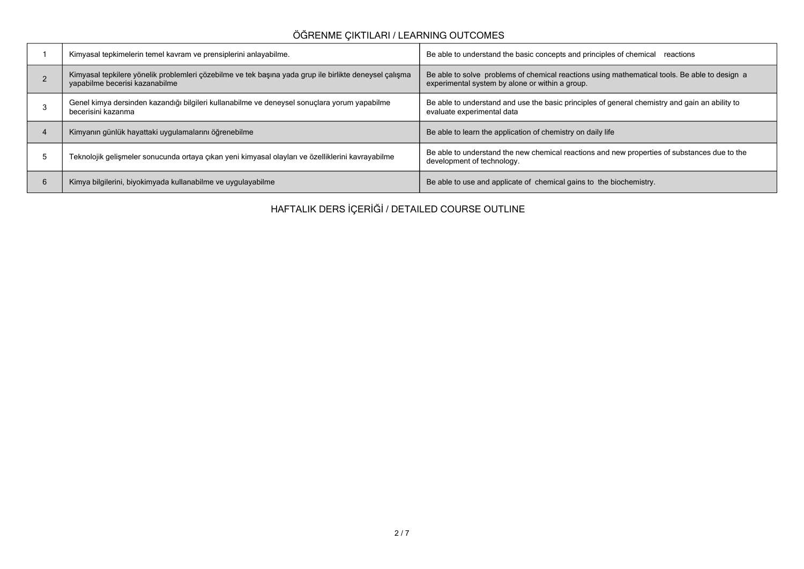## **ÖĞRENME ÇIKTILARI / LEARNING OUTCOMES**

|   | Kimyasal tepkimelerin temel kavram ve prensiplerini anlayabilme.                                                                         | Be able to understand the basic concepts and principles of chemical reactions                                                                    |
|---|------------------------------------------------------------------------------------------------------------------------------------------|--------------------------------------------------------------------------------------------------------------------------------------------------|
|   | Kimyasal tepkilere yönelik problemleri çözebilme ve tek başına yada grup ile birlikte deneysel çalışma<br>yapabilme becerisi kazanabilme | Be able to solve problems of chemical reactions using mathematical tools. Be able to design a<br>experimental system by alone or within a group. |
|   | Genel kimya dersinden kazandığı bilgileri kullanabilme ve deneysel sonuçlara yorum yapabilme<br>becerisini kazanma                       | Be able to understand and use the basic principles of general chemistry and gain an ability to<br>evaluate experimental data                     |
|   | Kimyanın günlük hayattaki uygulamalarını öğrenebilme                                                                                     | Be able to learn the application of chemistry on daily life                                                                                      |
|   | Teknolojik gelişmeler sonucunda ortaya çıkan yeni kimyasal olayları ve özelliklerini kavrayabilme                                        | Be able to understand the new chemical reactions and new properties of substances due to the<br>development of technology.                       |
| b | Kimya bilgilerini, biyokimyada kullanabilme ve uygulayabilme                                                                             | Be able to use and applicate of chemical gains to the biochemistry.                                                                              |

**HAFTALIK DERS İÇERİĞİ / DETAILED COURSE OUTLINE**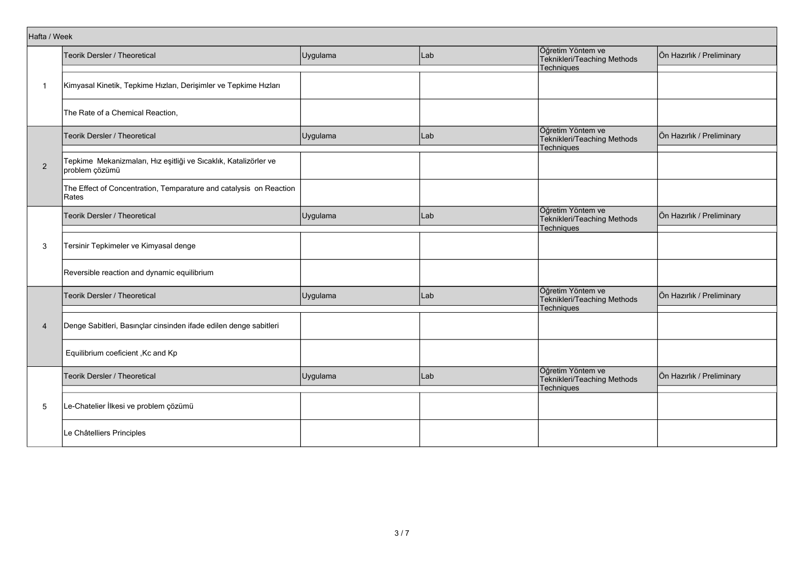| Hafta / Week   |                                                                                    |          |     |                                                                |                           |
|----------------|------------------------------------------------------------------------------------|----------|-----|----------------------------------------------------------------|---------------------------|
|                | Teorik Dersler / Theoretical                                                       | Uygulama | Lab | Öğretim Yöntem ve<br>Teknikleri/Teaching Methods               | Ön Hazırlık / Preliminary |
|                |                                                                                    |          |     | Techniques                                                     |                           |
| $\mathbf 1$    | Kimyasal Kinetik, Tepkime Hızları, Derişimler ve Tepkime Hızları                   |          |     |                                                                |                           |
|                | The Rate of a Chemical Reaction,                                                   |          |     |                                                                |                           |
|                | <b>Teorik Dersler / Theoretical</b>                                                | Uygulama | Lab | Öğretim Yöntem ve<br>Teknikleri/Teaching Methods<br>Techniques | Ön Hazırlık / Preliminary |
| $\overline{2}$ | Tepkime Mekanizmaları, Hız eşitliği ve Sıcaklık, Katalizörler ve<br>problem çözümü |          |     |                                                                |                           |
|                | The Effect of Concentration, Temparature and catalysis on Reaction<br>Rates        |          |     |                                                                |                           |
|                | Teorik Dersler / Theoretical                                                       | Uygulama | Lab | Öğretim Yöntem ve<br>Teknikleri/Teaching Methods<br>Techniques | Ön Hazırlık / Preliminary |
| 3              | Tersinir Tepkimeler ve Kimyasal denge                                              |          |     |                                                                |                           |
|                | Reversible reaction and dynamic equilibrium                                        |          |     |                                                                |                           |
|                | Teorik Dersler / Theoretical                                                       | Uygulama | Lab | Öğretim Yöntem ve<br>Teknikleri/Teaching Methods<br>Techniques | Ön Hazırlık / Preliminary |
| $\overline{4}$ | Denge Sabitleri, Basınçlar cinsinden ifade edilen denge sabitleri                  |          |     |                                                                |                           |
|                | Equilibrium coeficient, Kc and Kp                                                  |          |     |                                                                |                           |
|                | Teorik Dersler / Theoretical                                                       | Uygulama | Lab | Öğretim Yöntem ve<br>Teknikleri/Teaching Methods<br>Techniques | Ön Hazırlık / Preliminary |
| 5              | Le-Chatelier İlkesi ve problem çözümü                                              |          |     |                                                                |                           |
|                | Le Châtelliers Principles                                                          |          |     |                                                                |                           |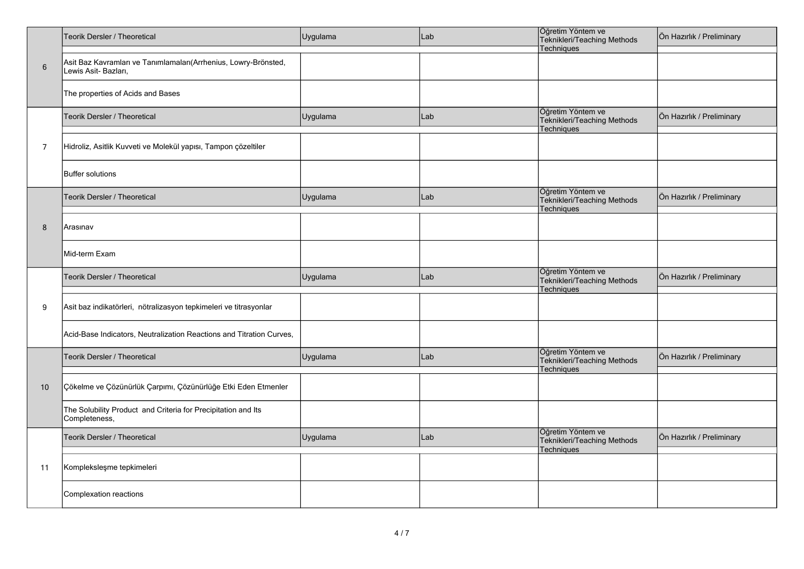|                | Teorik Dersler / Theoretical                                                           | Uygulama | Lab | Öğretim Yöntem ve<br>Teknikleri/Teaching Methods<br>Techniques | Ön Hazırlık / Preliminary |
|----------------|----------------------------------------------------------------------------------------|----------|-----|----------------------------------------------------------------|---------------------------|
| $\,6\,$        | Asit Baz Kavramları ve Tanımlamaları(Arrhenius, Lowry-Brönsted,<br>Lewis Asit-Bazları, |          |     |                                                                |                           |
|                | The properties of Acids and Bases                                                      |          |     |                                                                |                           |
|                | Teorik Dersler / Theoretical                                                           | Uygulama | Lab | Öğretim Yöntem ve<br>Teknikleri/Teaching Methods<br>Techniques | Ön Hazırlık / Preliminary |
| $\overline{7}$ | Hidroliz, Asitlik Kuvveti ve Molekül yapısı, Tampon çözeltiler                         |          |     |                                                                |                           |
|                | <b>Buffer solutions</b>                                                                |          |     |                                                                |                           |
|                | Teorik Dersler / Theoretical                                                           | Uygulama | Lab | Öğretim Yöntem ve<br>Teknikleri/Teaching Methods<br>Techniques | Ön Hazırlık / Preliminary |
| 8              | Arasınav                                                                               |          |     |                                                                |                           |
|                | Mid-term Exam                                                                          |          |     |                                                                |                           |
|                | Teorik Dersler / Theoretical                                                           | Uygulama | Lab | Öğretim Yöntem ve<br>Teknikleri/Teaching Methods<br>Techniques | Ön Hazırlık / Preliminary |
| 9              | Asit baz indikatörleri, nötralizasyon tepkimeleri ve titrasyonlar                      |          |     |                                                                |                           |
|                |                                                                                        |          |     |                                                                |                           |
|                | Acid-Base Indicators, Neutralization Reactions and Titration Curves,                   |          |     |                                                                |                           |
|                | Teorik Dersler / Theoretical                                                           | Uygulama | Lab | Öğretim Yöntem ve<br>Teknikleri/Teaching Methods               | Ön Hazırlık / Preliminary |
| 10             | Çökelme ve Çözünürlük Çarpımı, Çözünürlüğe Etki Eden Etmenler                          |          |     | Techniques                                                     |                           |
|                | The Solubility Product and Criteria for Precipitation and Its<br>Completeness,         |          |     |                                                                |                           |
|                | Teorik Dersler / Theoretical                                                           | Uygulama | Lab | Öğretim Yöntem ve<br>Teknikleri/Teaching Methods<br>Techniques | Ön Hazırlık / Preliminary |
| 11             | Kompleksleşme tepkimeleri                                                              |          |     |                                                                |                           |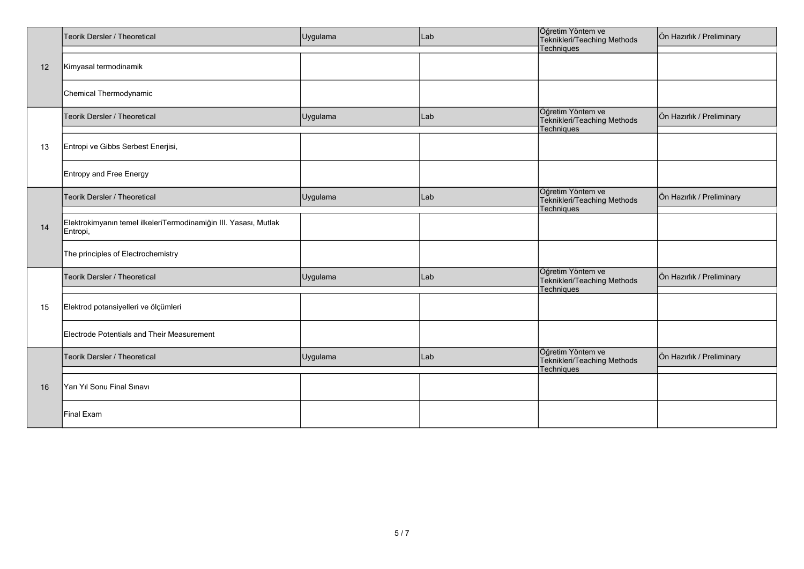|    | Teorik Dersler / Theoretical                                                 | Uygulama | Lab | Öğretim Yöntem ve<br>Teknikleri/Teaching Methods<br>Techniques        | Ön Hazırlık / Preliminary |
|----|------------------------------------------------------------------------------|----------|-----|-----------------------------------------------------------------------|---------------------------|
| 12 | Kimyasal termodinamik                                                        |          |     |                                                                       |                           |
|    | Chemical Thermodynamic                                                       |          |     |                                                                       |                           |
|    | Teorik Dersler / Theoretical                                                 | Uygulama | Lab | Öğretim Yöntem ve<br>Teknikleri/Teaching Methods<br>Techniques        | Ön Hazırlık / Preliminary |
| 13 | Entropi ve Gibbs Serbest Enerjisi,                                           |          |     |                                                                       |                           |
|    | <b>Entropy and Free Energy</b>                                               |          |     |                                                                       |                           |
|    | Teorik Dersler / Theoretical                                                 | Uygulama | Lab | Öğretim Yöntem ve<br>Teknikleri/Teaching Methods<br><b>Techniques</b> | Ön Hazırlık / Preliminary |
| 14 | Elektrokimyanın temel ilkeleriTermodinamiğin III. Yasası, Mutlak<br>Entropi, |          |     |                                                                       |                           |
|    | The principles of Electrochemistry                                           |          |     |                                                                       |                           |
|    | Teorik Dersler / Theoretical                                                 | Uygulama | Lab | Öğretim Yöntem ve<br>Teknikleri/Teaching Methods<br><b>Techniques</b> | Ön Hazırlık / Preliminary |
| 15 | Elektrod potansiyelleri ve ölçümleri                                         |          |     |                                                                       |                           |
|    | <b>Electrode Potentials and Their Measurement</b>                            |          |     |                                                                       |                           |
|    | Teorik Dersler / Theoretical                                                 | Uygulama | Lab | Öğretim Yöntem ve<br>Teknikleri/Teaching Methods<br><b>Techniques</b> | Ön Hazırlık / Preliminary |
| 16 | Yarı Yıl Sonu Final Sınavı                                                   |          |     |                                                                       |                           |
|    | <b>Final Exam</b>                                                            |          |     |                                                                       |                           |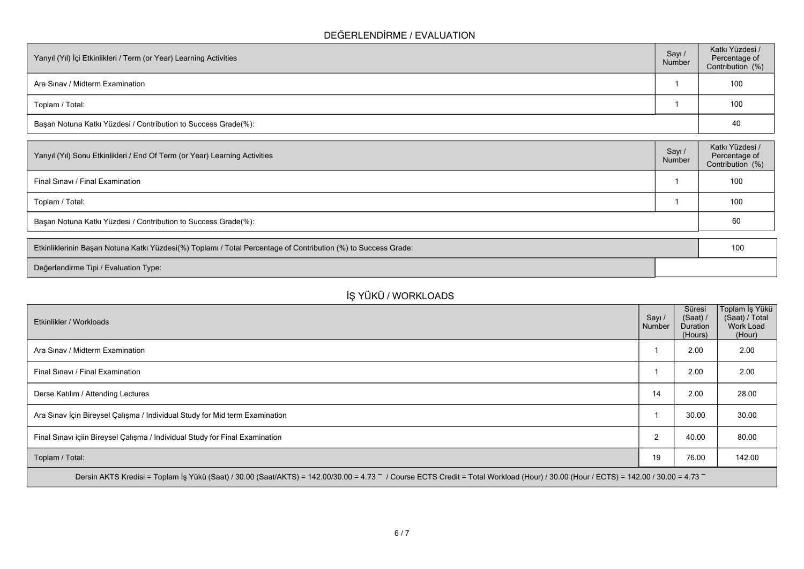### **DEĞERLENDİRME / EVALUATION**

| Yarıyıl (Yıl) İçi Etkinlikleri / Term (or Year) Learning Activities | Sayı /<br>Number | Katkı Yüzdesi /<br>Percentage of<br>Contribution (%) |
|---------------------------------------------------------------------|------------------|------------------------------------------------------|
| Ara Sinav / Midterm Examination                                     |                  | 100                                                  |
| Toplam / Total:                                                     |                  | 100                                                  |
| Başarı Notuna Katkı Yüzdesi / Contribution to Success Grade(%):     |                  | 40                                                   |

| Sayı/<br>Number | Katkı Yüzdesi /<br>Percentage of<br>Contribution (%) |
|-----------------|------------------------------------------------------|
|                 | 100                                                  |
|                 | 100                                                  |
|                 | 60                                                   |
|                 |                                                      |

| Etkinliklerinin Başarı Notuna Katkı Yüzdesi(%) Toplamı / Total Percentage of Contribution (%) to Success Grade: | 10 |
|-----------------------------------------------------------------------------------------------------------------|----|
| Değerlendirme Tipi / Evaluation Type:                                                                           |    |

# **İŞ YÜKÜ / WORKLOADS**

| Etkinlikler / Workloads                                                                                                                                                                              | Sayı /<br>Number | Süresi<br>(Saat) /<br>Duration<br>(Hours) | Toplam İş Yükü  <br>(Saat) / Total<br><b>Work Load</b><br>(Hour) |
|------------------------------------------------------------------------------------------------------------------------------------------------------------------------------------------------------|------------------|-------------------------------------------|------------------------------------------------------------------|
| Ara Sinav / Midterm Examination                                                                                                                                                                      |                  | 2.00                                      | 2.00                                                             |
| Final Sinavi / Final Examination                                                                                                                                                                     |                  | 2.00                                      | 2.00                                                             |
| Derse Katılım / Attending Lectures                                                                                                                                                                   | 14               | 2.00                                      | 28.00                                                            |
| Ara Sınav İçin Bireysel Çalışma / Individual Study for Mid term Examination                                                                                                                          |                  | 30.00                                     | 30.00                                                            |
| Final Sinavi içiin Bireysel Çalışma / Individual Study for Final Examination                                                                                                                         | $\overline{2}$   | 40.00                                     | 80.00                                                            |
| Toplam / Total:                                                                                                                                                                                      | 19               | 76.00                                     | 142.00                                                           |
| Dersin AKTS Kredisi = Toplam İş Yükü (Saat) / 30.00 (Saat/AKTS) = 142.00/30.00 = 4.73 $\degree$ / Course ECTS Credit = Total Workload (Hour) / 30.00 (Hour / ECTS) = 142.00 / 30.00 = 4.73 $\degree$ |                  |                                           |                                                                  |